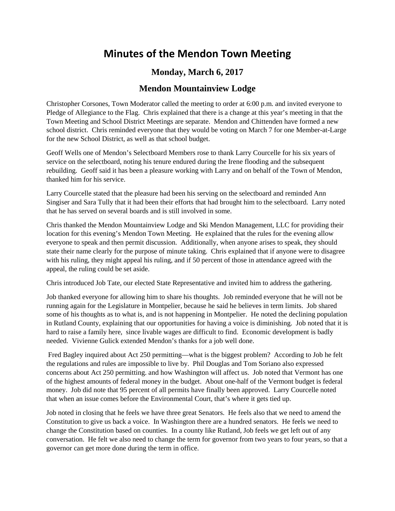## **Minutes of the Mendon Town Meeting**

## **Monday, March 6, 2017**

## **Mendon Mountainview Lodge**

Christopher Corsones, Town Moderator called the meeting to order at 6:00 p.m. and invited everyone to Pledge of Allegiance to the Flag. Chris explained that there is a change at this year's meeting in that the Town Meeting and School District Meetings are separate. Mendon and Chittenden have formed a new school district. Chris reminded everyone that they would be voting on March 7 for one Member-at-Large for the new School District, as well as that school budget.

Geoff Wells one of Mendon's Selectboard Members rose to thank Larry Courcelle for his six years of service on the selectboard, noting his tenure endured during the Irene flooding and the subsequent rebuilding. Geoff said it has been a pleasure working with Larry and on behalf of the Town of Mendon, thanked him for his service.

Larry Courcelle stated that the pleasure had been his serving on the selectboard and reminded Ann Singiser and Sara Tully that it had been their efforts that had brought him to the selectboard. Larry noted that he has served on several boards and is still involved in some.

Chris thanked the Mendon Mountainview Lodge and Ski Mendon Management, LLC for providing their location for this evening's Mendon Town Meeting. He explained that the rules for the evening allow everyone to speak and then permit discussion. Additionally, when anyone arises to speak, they should state their name clearly for the purpose of minute taking. Chris explained that if anyone were to disagree with his ruling, they might appeal his ruling, and if 50 percent of those in attendance agreed with the appeal, the ruling could be set aside.

Chris introduced Job Tate, our elected State Representative and invited him to address the gathering.

Job thanked everyone for allowing him to share his thoughts. Job reminded everyone that he will not be running again for the Legislature in Montpelier, because he said he believes in term limits. Job shared some of his thoughts as to what is, and is not happening in Montpelier. He noted the declining population in Rutland County, explaining that our opportunities for having a voice is diminishing. Job noted that it is hard to raise a family here, since livable wages are difficult to find. Economic development is badly needed. Vivienne Gulick extended Mendon's thanks for a job well done.

Fred Bagley inquired about Act 250 permitting—what is the biggest problem? According to Job he felt the regulations and rules are impossible to live by. Phil Douglas and Tom Soriano also expressed concerns about Act 250 permitting. and how Washington will affect us. Job noted that Vermont has one of the highest amounts of federal money in the budget. About one-half of the Vermont budget is federal money. Job did note that 95 percent of all permits have finally been approved. Larry Courcelle noted that when an issue comes before the Environmental Court, that's where it gets tied up.

Job noted in closing that he feels we have three great Senators. He feels also that we need to amend the Constitution to give us back a voice. In Washington there are a hundred senators. He feels we need to change the Constitution based on counties. In a county like Rutland, Job feels we get left out of any conversation. He felt we also need to change the term for governor from two years to four years, so that a governor can get more done during the term in office.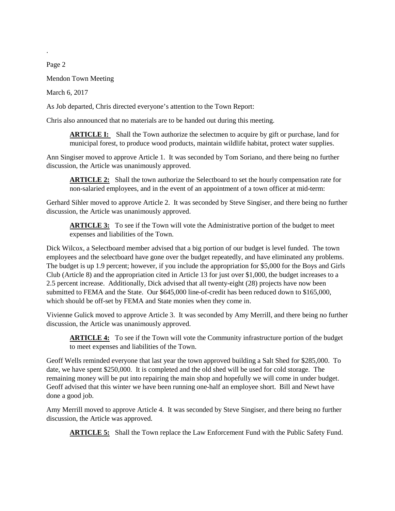Page 2

.

Mendon Town Meeting

March 6, 2017

As Job departed, Chris directed everyone's attention to the Town Report:

Chris also announced that no materials are to be handed out during this meeting.

**ARTICLE I:** Shall the Town authorize the selectmen to acquire by gift or purchase, land for municipal forest, to produce wood products, maintain wildlife habitat, protect water supplies.

Ann Singiser moved to approve Article 1. It was seconded by Tom Soriano, and there being no further discussion, the Article was unanimously approved.

**ARTICLE 2:** Shall the town authorize the Selectboard to set the hourly compensation rate for non-salaried employees, and in the event of an appointment of a town officer at mid-term:

Gerhard Sihler moved to approve Article 2. It was seconded by Steve Singiser, and there being no further discussion, the Article was unanimously approved.

**ARTICLE 3:** To see if the Town will vote the Administrative portion of the budget to meet expenses and liabilities of the Town.

Dick Wilcox, a Selectboard member advised that a big portion of our budget is level funded. The town employees and the selectboard have gone over the budget repeatedly, and have eliminated any problems. The budget is up 1.9 percent; however, if you include the appropriation for \$5,000 for the Boys and Girls Club (Article 8) and the appropriation cited in Article 13 for just over \$1,000, the budget increases to a 2.5 percent increase. Additionally, Dick advised that all twenty-eight (28) projects have now been submitted to FEMA and the State. Our \$645,000 line-of-credit has been reduced down to \$165,000, which should be off-set by FEMA and State monies when they come in.

Vivienne Gulick moved to approve Article 3. It was seconded by Amy Merrill, and there being no further discussion, the Article was unanimously approved.

**ARTICLE 4:** To see if the Town will vote the Community infrastructure portion of the budget to meet expenses and liabilities of the Town.

Geoff Wells reminded everyone that last year the town approved building a Salt Shed for \$285,000. To date, we have spent \$250,000. It is completed and the old shed will be used for cold storage. The remaining money will be put into repairing the main shop and hopefully we will come in under budget. Geoff advised that this winter we have been running one-half an employee short. Bill and Newt have done a good job.

Amy Merrill moved to approve Article 4. It was seconded by Steve Singiser, and there being no further discussion, the Article was approved.

**ARTICLE 5:** Shall the Town replace the Law Enforcement Fund with the Public Safety Fund.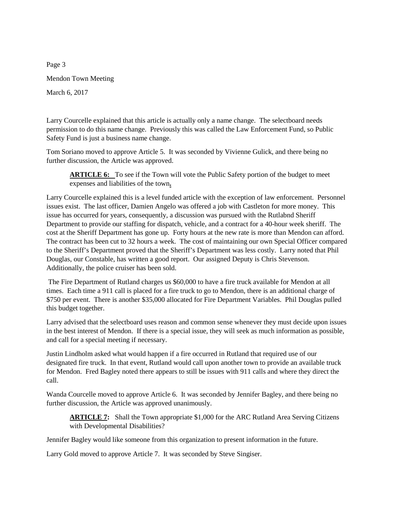Page 3 Mendon Town Meeting March 6, 2017

Larry Courcelle explained that this article is actually only a name change. The selectboard needs permission to do this name change. Previously this was called the Law Enforcement Fund, so Public Safety Fund is just a business name change.

Tom Soriano moved to approve Article 5. It was seconded by Vivienne Gulick, and there being no further discussion, the Article was approved.

**ARTICLE 6:** To see if the Town will vote the Public Safety portion of the budget to meet expenses and liabilities of the town**.**

Larry Courcelle explained this is a level funded article with the exception of law enforcement. Personnel issues exist. The last officer, Damien Angelo was offered a job with Castleton for more money. This issue has occurred for years, consequently, a discussion was pursued with the Rutlabnd Sheriff Department to provide our staffing for dispatch, vehicle, and a contract for a 40-hour week sheriff. The cost at the Sheriff Department has gone up. Forty hours at the new rate is more than Mendon can afford. The contract has been cut to 32 hours a week. The cost of maintaining our own Special Officer compared to the Sheriff's Department proved that the Sheriff's Department was less costly. Larry noted that Phil Douglas, our Constable, has written a good report. Our assigned Deputy is Chris Stevenson. Additionally, the police cruiser has been sold.

The Fire Department of Rutland charges us \$60,000 to have a fire truck available for Mendon at all times. Each time a 911 call is placed for a fire truck to go to Mendon, there is an additional charge of \$750 per event. There is another \$35,000 allocated for Fire Department Variables. Phil Douglas pulled this budget together.

Larry advised that the selectboard uses reason and common sense whenever they must decide upon issues in the best interest of Mendon. If there is a special issue, they will seek as much information as possible, and call for a special meeting if necessary.

Justin Lindholm asked what would happen if a fire occurred in Rutland that required use of our designated fire truck. In that event, Rutland would call upon another town to provide an available truck for Mendon. Fred Bagley noted there appears to still be issues with 911 calls and where they direct the call.

Wanda Courcelle moved to approve Article 6. It was seconded by Jennifer Bagley, and there being no further discussion, the Article was approved unanimously.

**ARTICLE 7:** Shall the Town appropriate \$1,000 for the ARC Rutland Area Serving Citizens with Developmental Disabilities?

Jennifer Bagley would like someone from this organization to present information in the future.

Larry Gold moved to approve Article 7. It was seconded by Steve Singiser.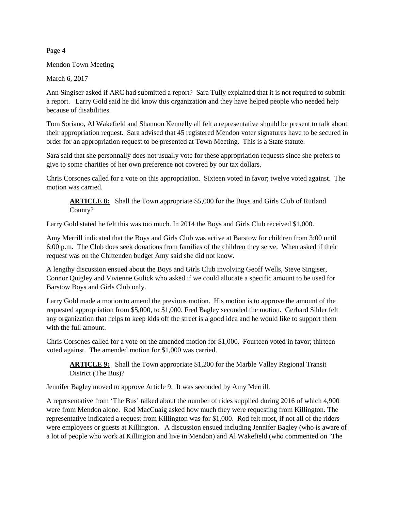Page 4

Mendon Town Meeting

March 6, 2017

Ann Singiser asked if ARC had submitted a report? Sara Tully explained that it is not required to submit a report. Larry Gold said he did know this organization and they have helped people who needed help because of disabilities.

Tom Soriano, Al Wakefield and Shannon Kennelly all felt a representative should be present to talk about their appropriation request. Sara advised that 45 registered Mendon voter signatures have to be secured in order for an appropriation request to be presented at Town Meeting. This is a State statute.

Sara said that she personnally does not usually vote for these appropriation requests since she prefers to give to some charities of her own preference not covered by our tax dollars.

Chris Corsones called for a vote on this appropriation. Sixteen voted in favor; twelve voted against. The motion was carried.

**ARTICLE 8:** Shall the Town appropriate \$5,000 for the Boys and Girls Club of Rutland County?

Larry Gold stated he felt this was too much. In 2014 the Boys and Girls Club received \$1,000.

Amy Merrill indicated that the Boys and Girls Club was active at Barstow for children from 3:00 until 6:00 p.m. The Club does seek donations from families of the children they serve. When asked if their request was on the Chittenden budget Amy said she did not know.

A lengthy discussion ensued about the Boys and Girls Club involving Geoff Wells, Steve Singiser, Connor Quigley and Vivienne Gulick who asked if we could allocate a specific amount to be used for Barstow Boys and Girls Club only.

Larry Gold made a motion to amend the previous motion. His motion is to approve the amount of the requested appropriation from \$5,000, to \$1,000. Fred Bagley seconded the motion. Gerhard Sihler felt any organization that helps to keep kids off the street is a good idea and he would like to support them with the full amount.

Chris Corsones called for a vote on the amended motion for \$1,000. Fourteen voted in favor; thirteen voted against. The amended motion for \$1,000 was carried.

**ARTICLE 9:** Shall the Town appropriate \$1,200 for the Marble Valley Regional Transit District (The Bus)?

Jennifer Bagley moved to approve Article 9. It was seconded by Amy Merrill.

A representative from 'The Bus' talked about the number of rides supplied during 2016 of which 4,900 were from Mendon alone. Rod MacCuaig asked how much they were requesting from Killington. The representative indicated a request from Killington was for \$1,000. Rod felt most, if not all of the riders were employees or guests at Killington. A discussion ensued including Jennifer Bagley (who is aware of a lot of people who work at Killington and live in Mendon) and Al Wakefield (who commented on 'The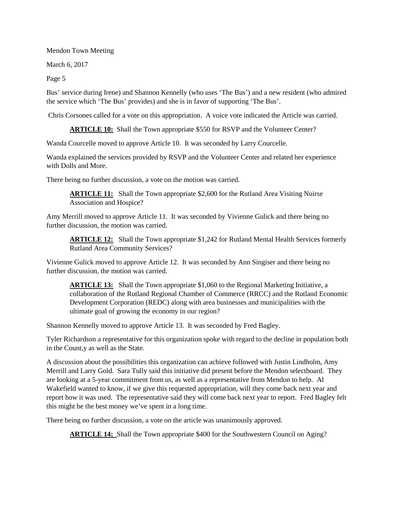Mendon Town Meeting

March 6, 2017

Page 5

Bus' service during Irene) and Shannon Kennelly (who uses 'The Bus') and a new resident (who admired the service which 'The Bus' provides) and she is in favor of supporting 'The Bus'.

Chris Corsones called for a vote on this appropriation. A voice vote indicated the Article was carried.

**ARTICLE 10:** Shall the Town appropriate \$550 for RSVP and the Volunteer Center?

Wanda Courcelle moved to approve Article 10. It was seconded by Larry Courcelle.

Wanda explained the services provided by RSVP and the Volunteer Center and related her experience with Dolls and More.

There being no further discussion, a vote on the motion was carried.

**ARTICLE 11:** Shall the Town appropriate \$2,600 for the Rutland Area Visiting Nuirse Association and Hospice?

Amy Merrill moved to approve Article 11. It was seconded by Vivienne Gulick and there being no further discussion, the motion was carried.

**ARTICLE 12:** Shall the Town appropriate \$1,242 for Rutland Mental Health Services formerly Rutland Area Community Services?

Vivienne Gulick moved to approve Article 12. It was seconded by Ann Singiser and there being no further discussion, the motion was carried.

ARTICLE 13: Shall the Town appropriate \$1,060 to the Regional Marketing Initiative, a collaboration of the Rutland Regional Chamber of Commerce (RRCC) and the Rutland Economic Development Corporation (REDC) along with area businesses and municipalities with the ultimate goal of growing the economy in our region?

Shannon Kennelly moved to approve Article 13. It was seconded by Fred Bagley.

Tyler Richardson a representative for this organization spoke with regard to the decline in population both in the Count,y as well as the State.

A discussion about the possibilities this organization can achieve followed with Justin Lindholm, Amy Merrill and Larry Gold. Sara Tully said this initiative did present before the Mendon selectboard. They are looking at a 5-year commitment from us, as well as a representative from Mendon to help. Al Wakefield wanted to know, if we give this requested appropriation, will they come back next year and report how it was used. The representative said they will come back next year to report. Fred Bagley felt this might be the best money we've spent in a long time.

There being no further discussion, a vote on the article was unanimously approved.

**ARTICLE 14:** Shall the Town appropriate \$400 for the Southwestern Council on Aging?